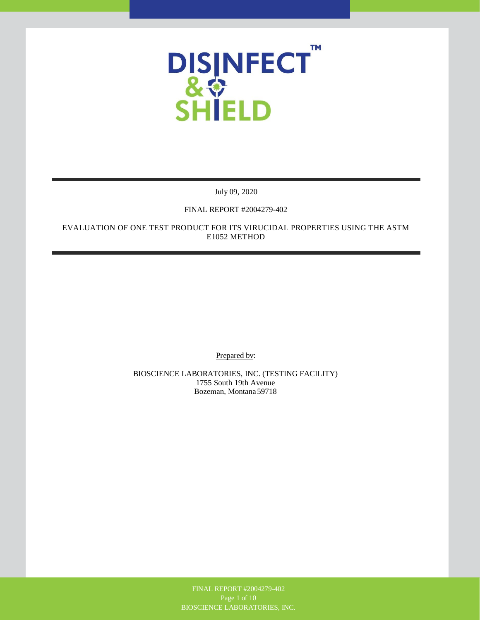

July 09, 2020

# FINAL REPORT #2004279-402

EVALUATION OF ONE TEST PRODUCT FOR ITS VIRUCIDAL PROPERTIES USING THE ASTM E1052 METHOD

Prepared bv:

BIOSCIENCE LABORATORIES, INC. (TESTING FACILITY) 1755 South 19th Avenue Bozeman, Montana 59718

> FINAL REPORT #2004279-402 BIOSCIENCE LABORATORIES, INC.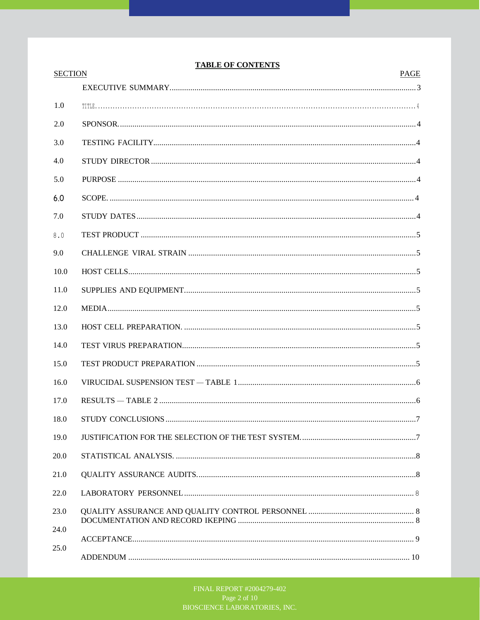# **TABLE OF CONTENTS**

| <b>SECTION</b> | PAGE                    |
|----------------|-------------------------|
|                |                         |
| 1.0            |                         |
| 2.0            |                         |
| 3.0            |                         |
| 4.0            |                         |
| 5.0            |                         |
| 6.0            |                         |
| 7.0            |                         |
| 8.0            |                         |
| 9.0            |                         |
| 10.0           |                         |
| 11.0           |                         |
| 12.0           |                         |
| 13.0           |                         |
| 14.0           |                         |
| 15.0           |                         |
| 16.0           |                         |
| 17.0           |                         |
| 18.0           | STHIDY CONCLUSIONS<br>7 |
| 19.0           |                         |
| 20.0           |                         |
| 21.0           |                         |
| 22.0           |                         |
| 23.0           |                         |
| 24.0           |                         |
| 25.0           |                         |
|                |                         |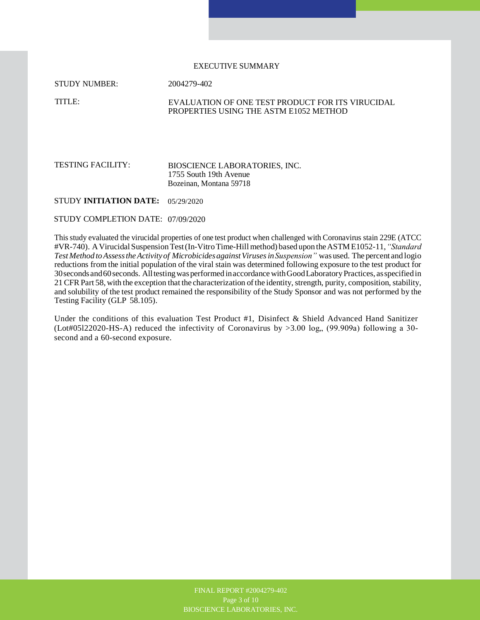#### EXECUTIVE SUMMARY

STUDY NUMBER:

2004279-402

TITLE:

#### EVALUATION OF ONE TEST PRODUCT FOR ITS VIRUCIDAL PROPERTIES USING THE ASTM E1052 METHOD

#### TESTING FACILITY: BIOSCIENCE LABORATORIES, INC. 1755 South 19th Avenue Bozeinan, Montana 59718

STUDY **INITIATION DATE:**  05/29/2020

STUDY COMPLETION DATE: 07/09/2020

This study evaluated the virucidal properties of one test product when challenged with Coronavirus stain 229E (ATCC #VR-740). A Virucidal Suspension Test (In-Vitro Time-Hill method) based upon the ASTM E1052-11, *"Standard Test Method to Assess the Activity of Microbicides against Viruses inSuspension"* was used. The percent and logio reductions from the initial population of the viral stain was determined following exposure to the test product for 30 seconds and 60 seconds. All testing was performed in accordance with Good Laboratory Practices, as specified in 21 CFR Part 58, with the exception that the characterization of the identity, strength, purity, composition, stability, and solubility of the test product remained the responsibility of the Study Sponsor and was not performed by the Testing Facility (GLP 58.105).

Under the conditions of this evaluation Test Product #1, Disinfect & Shield Advanced Hand Sanitizer (Lot#05122020-HS-A) reduced the infectivity of Coronavirus by  $>3.00$  log, (99.909a) following a 30second and a 60-second exposure.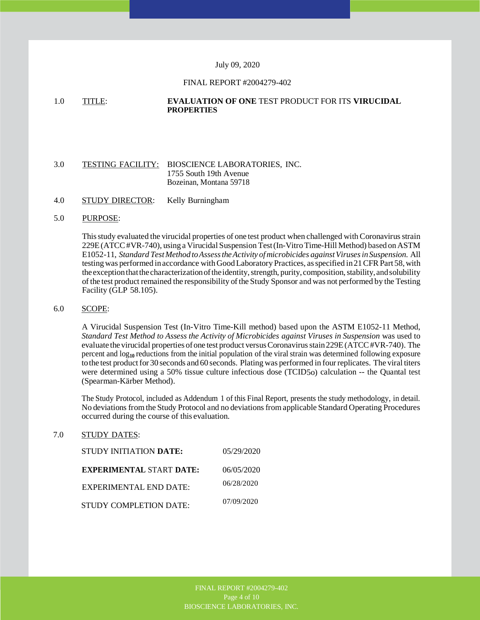#### July 09, 2020

#### FINAL REPORT #2004279-402

#### 1.0 TITLE: **EVALUATION OF ONE** TEST PRODUCT FOR ITS **VIRUCIDAL PROPERTIES**

#### 3.0 TESTING FACILITY: BIOSCIENCE LABORATORIES, INC. 1755 South 19th Avenue Bozeinan, Montana 59718

4.0 STUDY DIRECTOR: Kelly Burningham

## 5.0 PURPOSE:

This study evaluated the virucidal properties of one test product when challenged with Coronavirus strain 229E (ATCC #VR-740), using a Virucidal Suspension Test (In-Vitro Time-Hill Method) based on ASTM E1052-11, *Standard Test Method toAssess the Activity of microbicides against Viruses inSuspension.* All testing was performed in accordance with Good Laboratory Practices, as specified in 21 CFR Part 58, with the exception that the characterization ofthe identity, strength, purity, composition, stability, and solubility of the test product remained the responsibility of the Study Sponsor and was not performed by the Testing Facility (GLP 58.105).

#### 6.0 SCOPE:

A Virucidal Suspension Test (In-Vitro Time-Kill method) based upon the ASTM E1052-11 Method, *Standard Test Method to Assess the Activity of Microbicides against Viruses in Suspension* was used to evaluate the virucidal properties of one test product versus Coronavirus stain 229E (ATCC #VR-740). The percent and log**10** reductions from the initial population of the viral strain was determined following exposure to the test product for 30 seconds and 60 seconds. Plating was performed in four replicates. The viral titers were determined using a 50% tissue culture infectious dose (TCID5o) calculation -- the Quantal test (Spearman-Kärber Method).

The Study Protocol, included as Addendum 1 of this Final Report, presents the study methodology, in detail. No deviations from the Study Protocol and no deviations from applicable Standard Operating Procedures occurred during the course of this evaluation.

## 7.0 STUDY DATES:

| STUDY INITIATION DATE:          | 05/29/2020 |
|---------------------------------|------------|
| <b>EXPERIMENTAL START DATE:</b> | 06/05/2020 |
| EXPERIMENTAL END DATE:          | 06/28/2020 |
| STUDY COMPLETION DATE:          | 07/09/2020 |

Page 4 of 10 BIOSCIENCE LABORATORIES, INC. BIOSCIENCE LABORATORIES, INC.FINAL REPORT #2004279-402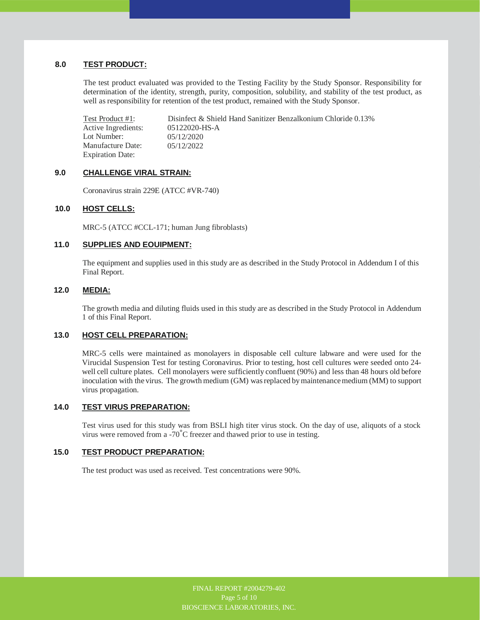# **8.0 TEST PRODUCT:**

The test product evaluated was provided to the Testing Facility by the Study Sponsor. Responsibility for determination of the identity, strength, purity, composition, solubility, and stability of the test product, as well as responsibility for retention of the test product, remained with the Study Sponsor.

Test Product #1: Active Ingredients: Lot Number: Manufacture Date: Expiration Date: Disinfect & Shield Hand Sanitizer Benzalkonium Chloride 0.13% 05122020-HS-A 05/12/2020 05/12/2022

#### **9.0 CHALLENGE VIRAL STRAIN:**

Coronavirus strain 229E (ATCC #VR-740)

#### **10.0 HOST CELLS:**

MRC-5 (ATCC #CCL-171; human Jung fibroblasts)

# **11.0 SUPPLIES AND EOUIPMENT:**

The equipment and supplies used in this study are as described in the Study Protocol in Addendum I of this Final Report.

#### **12.0 MEDIA:**

The growth media and diluting fluids used in this study are as described in the Study Protocol in Addendum 1 of this Final Report.

# **13.0 HOST CELL PREPARATION:**

MRC-5 cells were maintained as monolayers in disposable cell culture labware and were used for the Virucidal Suspension Test for testing Coronavirus. Prior to testing, host cell cultures were seeded onto 24 well cell culture plates. Cell monolayers were sufficiently confluent (90%) and less than 48 hours old before inoculation with the virus. The growth medium (GM) was replaced by maintenance medium (MM) to support virus propagation.

# **14.0 TEST VIRUS PREPARATION:**

Test virus used for this study was from BSLI high titer virus stock. On the day of use, aliquots of a stock virus were removed from a -70°C freezer and thawed prior to use in testing.

## **15.0 TEST PRODUCT PREPARATION:**

The test product was used as received. Test concentrations were 90%.

FINAL REPORT #2004279-402 FINAL REPORT #2004279-402 Page 5 of 10 BIOSCIENCE LABORATORJES, INC. BIOSCIENCE LABORATORIES, INC.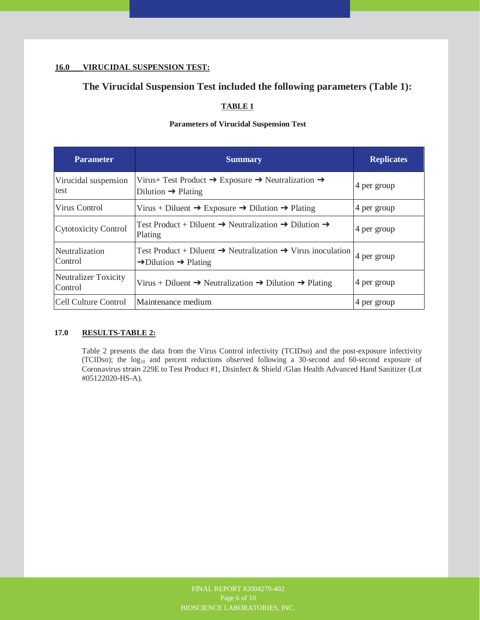# **16.0 VIRUCIDAL SUSPENSION TEST:**

# **The Virucidal Suspension Test included the following parameters (Table 1):**

# **TABLE 1**

# **Parameters of Virucidal Suspension Test**

| <b>Parameter</b>                       | <b>Summary</b>                                                                                                                      | <b>Replicates</b> |
|----------------------------------------|-------------------------------------------------------------------------------------------------------------------------------------|-------------------|
| Virucidal suspension<br>test           | Virus+ Test Product $\rightarrow$ Exposure $\rightarrow$ Neutralization $\rightarrow$<br>Dilution $\rightarrow$ Plating             | 4 per group       |
| Virus Control                          | Virus + Diluent $\rightarrow$ Exposure $\rightarrow$ Dilution $\rightarrow$ Plating                                                 | 4 per group       |
| <b>Cytotoxicity Control</b>            | Test Product + Diluent $\rightarrow$ Neutralization $\rightarrow$ Dilution $\rightarrow$<br>Plating                                 | 4 per group       |
| Neutralization<br>Control              | Test Product + Diluent $\rightarrow$ Neutralization $\rightarrow$ Virus inoculation<br>$\rightarrow$ Dilution $\rightarrow$ Plating | 4 per group       |
| <b>Neutralizer Toxicity</b><br>Control | Virus + Diluent $\rightarrow$ Neutralization $\rightarrow$ Dilution $\rightarrow$ Plating                                           | 4 per group       |
| Cell Culture Control                   | Maintenance medium                                                                                                                  | 4 per group       |

# **17.0 RESULTS-TABLE 2:**

Table 2 presents the data from the Virus Control infectivity (TCIDso) and the post-exposure infectivity (TCIDso); the log<sub>10</sub> and percent reductions observed following a 30-second and 60-second exposure of Coronavirus strain 229E to Test Product #1, Disinfect & Shield /Glan Health Advanced Hand Sanitizer (Lot #05122020-HS-A).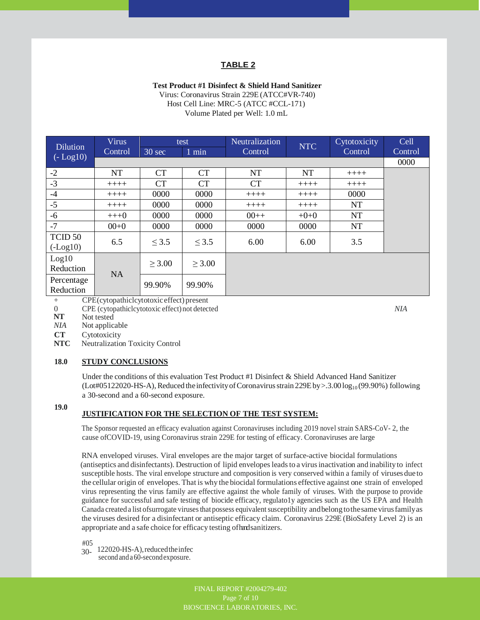# **TABLE 2**

## **Test Product #1 Disinfect & Shield Hand Sanitizer**

Virus: Coronavirus Strain 229E (ATCC#VR-740) Host Cell Line: MRC-5 (ATCC #CCL-171) Volume Plated per Well: 1.0 mL

| <b>Dilution</b>    | <b>Virus</b> |                  | test        | Neutralization | <b>NTC</b> | Cytotoxicity | Cell    |
|--------------------|--------------|------------------|-------------|----------------|------------|--------------|---------|
| $(-Log10)$         | Control      | $30 \text{ sec}$ | $1$ min     | Control        |            | Control      | Control |
|                    |              |                  |             |                |            |              | 0000    |
| $-2$               | <b>NT</b>    | CT               | <b>CT</b>   | <b>NT</b>      | <b>NT</b>  | $+++++$      |         |
| $-3$               | $+++++$      | <b>CT</b>        | <b>CT</b>   | <b>CT</b>      | $+++++$    | $++++-$      |         |
| $-4$               | $+++++$      | 0000             | 0000        | $+++++$        | $+++++$    | 0000         |         |
| $-5$               | $+++++$      | 0000             | 0000        | $+++++$        | $++++$     | <b>NT</b>    |         |
| $-6$               | $+++0$       | 0000             | 0000        | $00++$         | $+0+0$     | NT           |         |
| $-7$               | $00+0$       | 0000             | 0000        | 0000           | 0000       | NT           |         |
| TCID <sub>50</sub> | 6.5          | $\leq$ 3.5       | $\leq$ 3.5  | 6.00           | 6.00       | 3.5          |         |
| $(-Log10)$         |              |                  |             |                |            |              |         |
| Log10              |              | $\geq 3.00$      | $\geq 3.00$ |                |            |              |         |
| Reduction          | <b>NA</b>    |                  |             |                |            |              |         |
| Percentage         |              | 99.90%           | 99.90%      |                |            |              |         |
| Reduction          | $\cdots$     |                  |             |                |            |              |         |

+ CPE (cytopathiclcytotoxic effect) present

0 CPE (cytopathiclcytotoxic effect) not detected<br>
Not tested

Not tested

*NIA* Not applicable

**CT**  Cytotoxicity

**NTC** Neutralization Toxicity Control

#### **18.0 STUDY CONCLUSIONS**

Under the conditions of this evaluation Test Product #1 Disinfect & Shield Advanced Hand Sanitizer  $($ Lot#05122020-HS-A $)$ , Reduced the infectivity of Coronavirus strain 229E by >.3.00 log<sub>10</sub> (99.90%) following a 30-second and a 60-second exposure.

#### **19.0**

# **JUSTIFICATION FOR THE SELECTION OF THE TEST SYSTEM:**

The Sponsor requested an efficacy evaluation against Coronaviruses including 2019 novel strain SARS-CoV- 2, the cause ofCOVID-19, using Coronavirus strain 229E for testing of efficacy. Coronaviruses are large

RNA enveloped viruses. Viral envelopes are the major target of surface-active biocidal formulations (antiseptics and disinfectants). Destruction of lipid envelopes leads to a virus inactivation and inability to infect susceptible hosts. The viral envelope structure and composition is very conserved within a family of viruses due to the cellular origin of envelopes. That is why the biocidal formulations effective against one strain of enveloped virus representing the virus family are effective against the whole family of viruses. With the purpose to provide guidance for successful and safe testing of biocide efficacy, regulato1y agencies such as the US EPA and Health Canada created a list of surrogate viruses that possess equivalent susceptibility and belong to the same virus family as the viruses desired for a disinfectant or antiseptic efficacy claim. Coronavirus 229E (BioSafety Level 2) is an appropriate and a safe choice for efficacy testing of hand sanitizers.

#05

30- 122020-HS-A), reduced the infec

second and a 60-second exposure.

FINAL REPORT #2004279-402 Page 7 of 10 BIOSCIENCE LABORATORIES, INC. *NIA*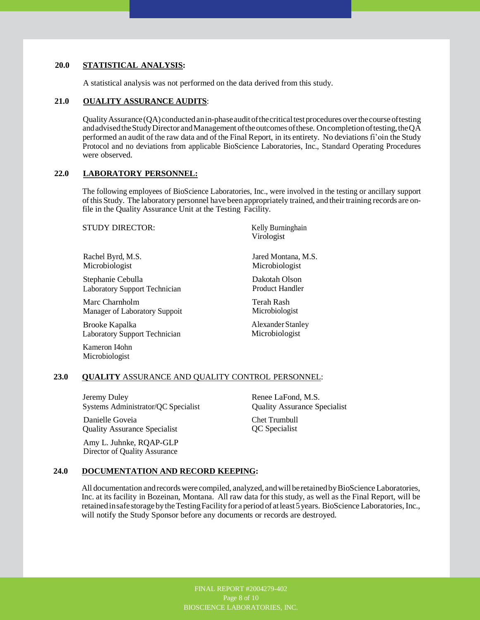# **20.0 STATISTICAL ANALYSIS:**

A statistical analysis was not performed on the data derived from this study.

#### **21.0 OUALITY ASSURANCE AUDITS**:

Quality Assurance (QA) conducted anin-phase audit of the critical test procedures over the course of testing and advised the Study Director and Management of the outcomes of these. On completion of testing, the QA performed an audit of the raw data and of the Final Report, in its entirety. No deviations fi'oin the Study Protocol and no deviations from applicable BioScience Laboratories, Inc., Standard Operating Procedures were observed.

#### **22.0 LABORATORY PERSONNEL:**

The following employees of BioScience Laboratories, Inc., were involved in the testing or ancillary support of this Study. The laboratory personnel have been appropriately trained, and their training records are onfile in the Quality Assurance Unit at the Testing Facility.

STUDY DIRECTOR:

Rachel Byrd, M.S. Microbiologist

Stephanie Cebulla Laboratory Support Technician

Marc Charnholm Manager of Laboratory Suppoit

Brooke Kapalka Laboratory Support Technician

Kameron I4ohn Microbiologist

Kelly Burninghain Virologist

Jared Montana, M.S. Microbiologist

Dakotah Olson Product Handler

Terah Rash Microbiologist

Alexander Stanley Microbiologist

#### **23.0 QUALITY** ASSURANCE AND QUALITY CONTROL PERSONNEL:

Jeremy Duley Systems Administrator/QC Specialist

Danielle Goveia Quality Assurance Specialist

Amy L. Juhnke, RQAP-GLP Director of Quality Assurance

Renee LaFond, M.S. Quality Assurance Specialist

Chet Trumbull QC Specialist

#### **24.0 DOCUMENTATION AND RECORD KEEPING:**

All documentation and records were compiled, analyzed, and will be retained by BioScience Laboratories, Inc. at its facility in Bozeinan, Montana. All raw data for this study, as well as the Final Report, will be retained in safe storage by the Testing Facility for a period of at least 5 years. BioScience Laboratories, Inc., will notify the Study Sponsor before any documents or records are destroyed.

> FINAL REPORT #2004279-402 BIOSCIENCE LABORATORIES, INC.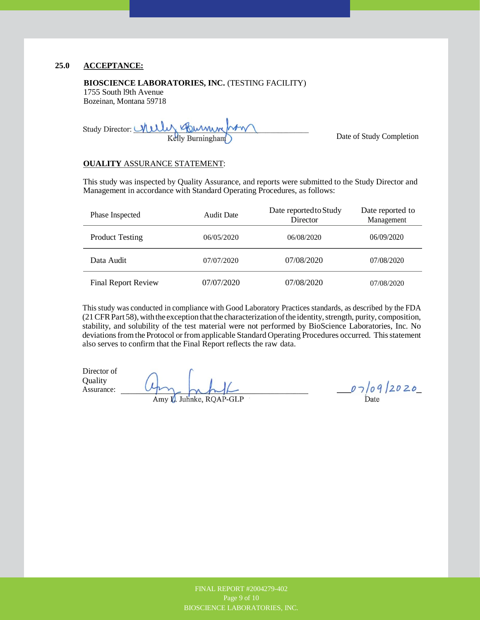# **25.0 ACCEPTANCE:**

#### **BIOSCIENCE LABORATORIES, INC.** (TESTING FACILITY)

1755 South l9th Avenue Bozeinan, Montana 59718

Study Director: *Milly Gummm* 

Date of Study Completion

#### **OUALITY** ASSURANCE STATEMENT:

This study was inspected by Quality Assurance, and reports were submitted to the Study Director and Management in accordance with Standard Operating Procedures, as follows:

| Phase Inspected            | <b>Audit Date</b> | Date reported to Study<br>Director | Date reported to<br>Management |
|----------------------------|-------------------|------------------------------------|--------------------------------|
| <b>Product Testing</b>     | 06/05/2020        | 06/08/2020                         | 06/09/2020                     |
| Data Audit                 | 07/07/2020        | 07/08/2020                         | 07/08/2020                     |
| <b>Final Report Review</b> | 07/07/2020        | 07/08/2020                         | 07/08/2020                     |

This study was conducted in compliance with Good Laboratory Practices standards, as described by the FDA (21 CFR Part 58), with the exception that the characterization ofthe identity, strength, purity, composition, stability, and solubility of the test material were not performed by BioScience Laboratories, Inc. No deviations from the Protocol or from applicable Standard Operating Procedures occurred. This statement also serves to confirm that the Final Report reflects the raw data.

Director of **Quality** Assurance: Amy L. Juhnke, RQAP-GLP

 $07/09/2020$ 

FINAL REPORT #2004279-402 FINAL REPORT #2004279-402 BIOSCIENCE LABORATORIES, INC. BIOSCIENCE LABORATORIES, INC.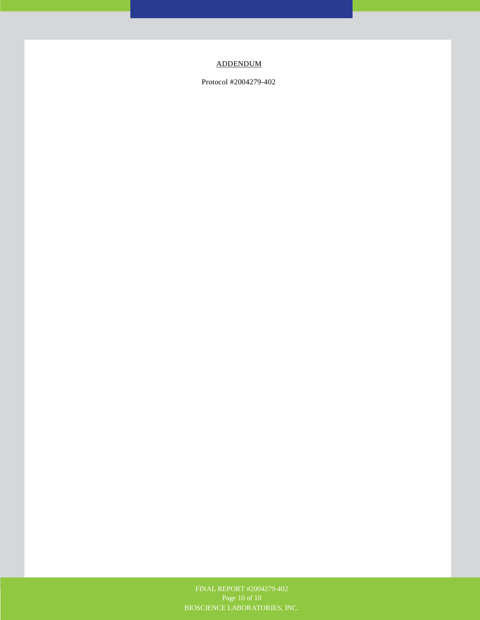# ADDENDUM

Protocol #2004279-402

Page 10 of 10 BIOSCIENCE LABORATORIES, FINAL REPORT #2004279-402 Page 10 of 10 BIOSCIENCE LABORATORIES, INC.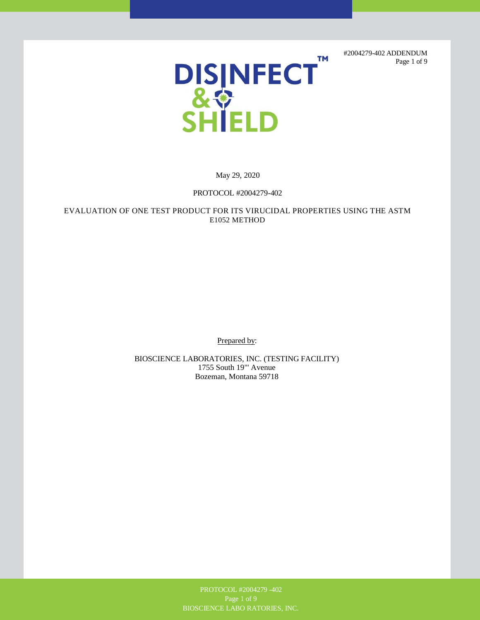#2004279-402 ADDENDUM Page 1 of 9



May 29, 2020

# PROTOCOL #2004279-402

EVALUATION OF ONE TEST PRODUCT FOR ITS VIRUCIDAL PROPERTIES USING THE ASTM E1052 METHOD

Prepared by:

BIOSCIENCE LABORATORIES, INC. (TESTING FACILITY) 1755 South 19"' Avenue Bozeman, Montana 59718

> PROTOCOL #2004279 -402 BIOSCIENCE LABO RATORIES, INC.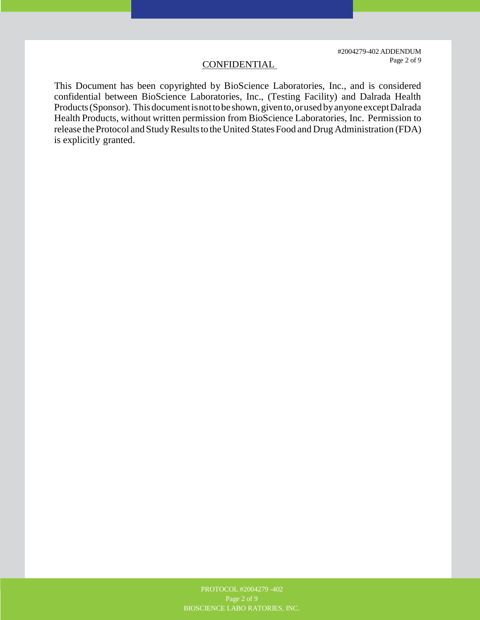#2004279-402 ADDENDUM CONFIDENTIAL Page 2 of 9

This Document has been copyrighted by BioScience Laboratories, Inc., and is considered confidential between BioScience Laboratories, Inc., (Testing Facility) and Dalrada Health Products (Sponsor). This document is not to be shown, given to, or used by anyone except Dalrada Health Products, without written permission from BioScience Laboratories, Inc. Permission to release the Protocol and Study Results to the United States Food and Drug Administration (FDA) is explicitly granted.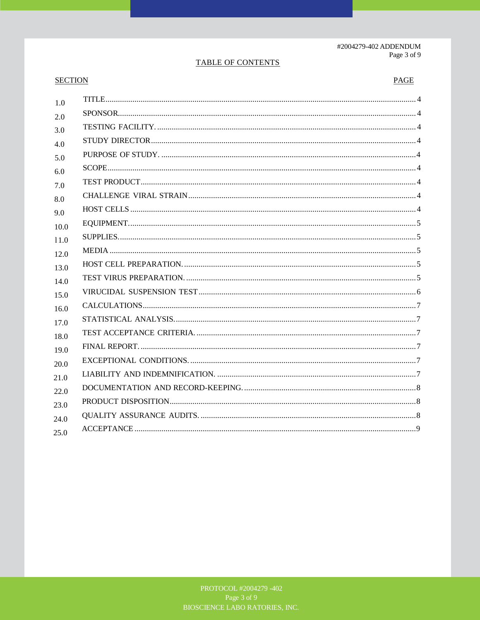# TABLE OF CONTENTS

# **SECTION**

# $PAGE$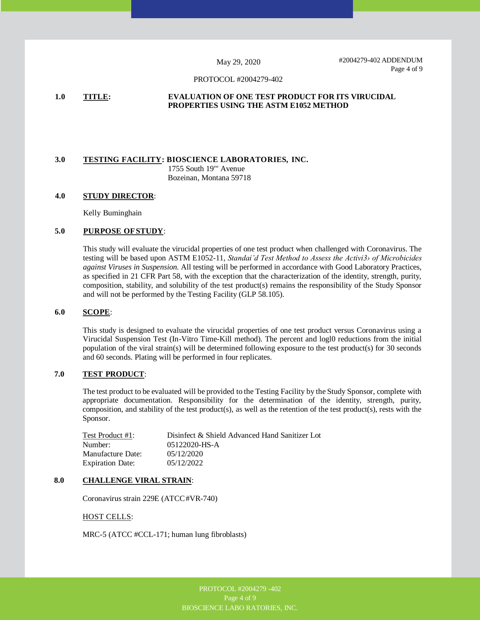#2004279-402 ADDENDUM Page 4 of 9

#### PROTOCOL #2004279-402

#### **1.0 TITLE: EVALUATION OF ONE TEST PRODUCT FOR ITS VIRUCIDAL PROPERTIES USING THE ASTM E1052 METHOD**

# **3.0 TESTING FACILITY: BIOSCIENCE LABORATORIES, INC.** 1755 South 19"' Avenue

Bozeinan, Montana 59718

#### **4.0 STUDY DIRECTOR**:

Kelly Buminghain

#### **5.0 PURPOSE OF STUDY**:

This study will evaluate the virucidal properties of one test product when challenged with Coronavirus. The testing will be based upon ASTM E1052-11, *Standai'd Test Method to Assess the Activi3› of Microbicides against Viruses in Suspension.* All testing will be performed in accordance with Good Laboratory Practices, as specified in 21 CFR Part 58, with the exception that the characterization of the identity, strength, purity, composition, stability, and solubility of the test product(s) remains the responsibility of the Study Sponsor and will not be performed by the Testing Facility (GLP 58.105).

#### **6.0 SCOPE**:

This study is designed to evaluate the virucidal properties of one test product versus Coronavirus using a Virucidal Suspension Test (In-Vitro Time-Kill method). The percent and logl0 reductions from the initial population of the viral strain(s) will be determined following exposure to the test product(s) for 30 seconds and 60 seconds. Plating will be performed in four replicates.

#### **7.0 TEST PRODUCT**:

The test product to be evaluated will be provided to the Testing Facility by the Study Sponsor, complete with appropriate documentation. Responsibility for the determination of the identity, strength, purity, composition, and stability of the test product(s), as well as the retention of the test product(s), rests with the Sponsor.

| Test Product #1:        | Disinfect & Shield Advanced Hand Sanitizer Lot |
|-------------------------|------------------------------------------------|
| Number:                 | 05122020-HS-A                                  |
| Manufacture Date:       | 05/12/2020                                     |
| <b>Expiration Date:</b> | 05/12/2022                                     |

## **8.0 CHALLENGE VIRAL STRAIN**:

Coronavirus strain 229E (ATCC #VR-740)

#### HOST CELLS:

MRC-5 (ATCC #CCL-171; human lung fibroblasts)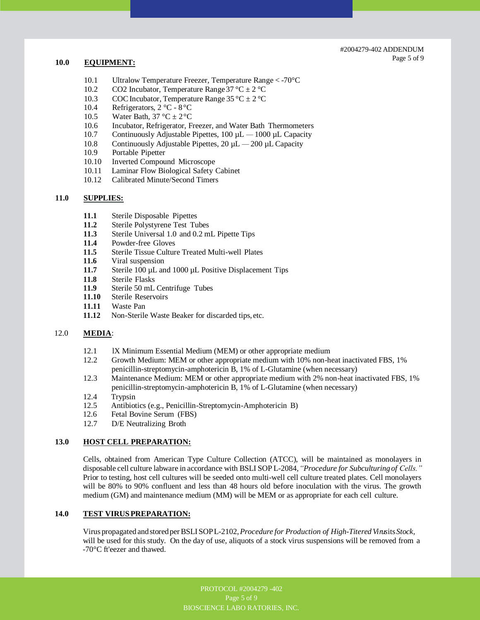#2004279-402 ADDENDUM

# **10.0 EQUIPMENT: Page 5 of 9**

- 10.1 Ultralow Temperature Freezer, Temperature Range < -70°C
- 10.2 CO2 Incubator, Temperature Range  $37 \degree C \pm 2 \degree C$
- 10.3 COC Incubator, Temperature Range  $35^{\circ}$ C  $\pm$  2  $^{\circ}$ C
- 10.4 Refrigerators, 2 °C 8 °C
- 10.5 Water Bath,  $37 \text{ °C} \pm 2 \text{ °C}$
- 10.6 Incubator, Refrigerator, Freezer, and Water Bath Thermometers
- 10.7 Continuously Adjustable Pipettes, 100 µL 1000 µL Capacity
- 10.8 Continuously Adjustable Pipettes,  $20 \mu L 200 \mu L$  Capacity
- 10.9 Portable Pipetter
- 10.10 Inverted Compound Microscope
- 10.11 Laminar Flow Biological Safety Cabinet
- 10.12 Calibrated Minute/Second Timers

#### **11.0 SUPPLIES:**

- **11.1** Sterile Disposable Pipettes
- **11.2** Sterile Polystyrene Test Tubes
- **11.3** Sterile Universal 1.0 and 0.2 mL Pipette Tips
- **11.4** Powder-free Gloves
- **11.5** Sterile Tissue Culture Treated Multi-well Plates
- **11.6** Viral suspension
- 11.7 Sterile 100 µL and 1000 µL Positive Displacement Tips
- **11.8** Sterile Flasks
- 11.9 Sterile 50 mL Centrifuge Tubes<br>11.10 Sterile Reservoirs
- **Sterile Reservoirs**
- **11.11** Waste Pan
- **11.12** Non-Sterile Waste Beaker for discarded tips, etc.

#### 12.0 **MEDIA**:

- 12.1 IX Minimum Essential Medium (MEM) or other appropriate medium
- 12.2 Growth Medium: MEM or other appropriate medium with 10% non-heat inactivated FBS, 1% penicillin-streptomycin-amphotericin B, 1% of L-Glutamine (when necessary)
- 12.3 Maintenance Medium: MEM or other appropriate medium with 2% non-heat inactivated FBS, 1% penicillin-streptomycin-amphotericin B, 1% of L-Glutamine (when necessary)
- 12.4 Trypsin
- 12.5 Antibiotics (e.g., Penicillin-Streptomycin-Amphotericin B)
- 12.6 Fetal Bovine Serum (FBS)
- 12.7 D/E Neutralizing Broth

#### **13.0 HOST CELL PREPARATION:**

Cells, obtained from American Type Culture Collection (ATCC), will be maintained as monolayers in disposable cell culture labware in accordance with BSLI SOP L-2084, *"Procedure for Subculturing of Cells."*  Prior to testing, host cell cultures will be seeded onto multi-well cell culture treated plates. Cell monolayers will be 80% to 90% confluent and less than 48 hours old before inoculation with the virus. The growth medium (GM) and maintenance medium (MM) will be MEM or as appropriate for each cell culture.

#### **14.0 TEST VIRUS PREPARATION:**

Virus propagated and stored per BSLI SOP L-2102, *Procedure for Production of High-Titered Vi rus* its*Stock,*  will be used for this study. On the day of use, aliquots of a stock virus suspensions will be removed from a -70°C ft'eezer and thawed.

> PROTOCOL #2004279 -402 Page 5 of 9 BIOSCIENCE LABO RATORIES, INC.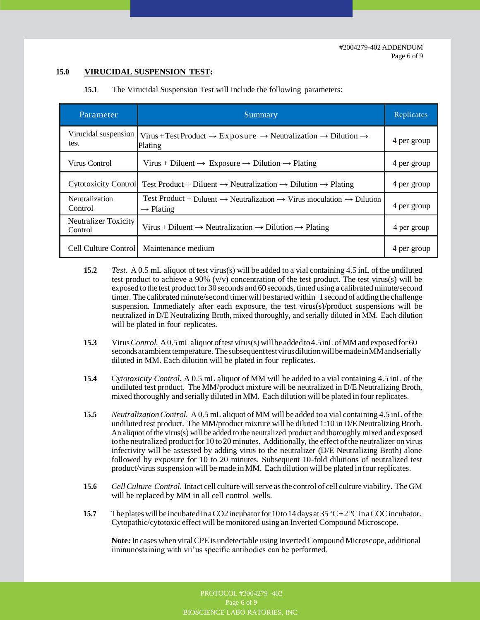# **15.0 VIRUCIDAL SUSPENSION TEST:**

| Parameter                       | Summary                                                                                                                             | Replicates  |
|---------------------------------|-------------------------------------------------------------------------------------------------------------------------------------|-------------|
| Virucidal suspension<br>test    | Virus + Test Product $\rightarrow$ Exposure $\rightarrow$ Neutralization $\rightarrow$ Dilution $\rightarrow$<br>Plating            | 4 per group |
| Virus Control                   | Virus + Diluent $\rightarrow$ Exposure $\rightarrow$ Dilution $\rightarrow$ Plating                                                 | 4 per group |
| <b>Cytotoxicity Control</b>     | Test Product + Diluent $\rightarrow$ Neutralization $\rightarrow$ Dilution $\rightarrow$ Plating                                    | 4 per group |
| Neutralization<br>Control       | Test Product + Diluent $\rightarrow$ Neutralization $\rightarrow$ Virus inoculation $\rightarrow$ Dilution<br>$\rightarrow$ Plating | 4 per group |
| Neutralizer Toxicity<br>Control | Virus + Diluent $\rightarrow$ Neutralization $\rightarrow$ Dilution $\rightarrow$ Plating                                           | 4 per group |
| Cell Culture Control            | Maintenance medium                                                                                                                  | 4 per group |

**15.1** The Virucidal Suspension Test will include the following parameters:

- **15.2** *Test.* A 0.5 mL aliquot of test virus(s) will be added to a vial containing 4.5 inL of the undiluted test product to achieve a 90%  $(v/v)$  concentration of the test product. The test virus(s) will be exposed to the test product for 30 seconds and 60 seconds, timed using a calibrated minute/second timer. The calibrated minute/second timer will be started within 1 second of adding the challenge suspension. Immediately after each exposure, the test virus(s)/product suspensions will be neutralized in D/E Neutralizing Broth, mixed thoroughly, and serially diluted in MM. Each dilution will be plated in four replicates.
- **15.3** Virus *Control.* A 0.5 mL aliquot of test virus(s) will be added to 4.5 inL of MM and exposed for 60 seconds at ambient temperature. The subsequent test virus dilution will be made inMM and serially diluted in MM. Each dilution will be plated in four replicates.
- **15.4** Cy*totoxicity Control.* A 0.5 mL aliquot of MM will be added to a vial containing 4.5 inL of the undiluted test product. The MM/product mixture will be neutralized in D/E Neutralizing Broth, mixed thoroughly and serially diluted in MM. Each dilution will be plated in four replicates.
- **15.5** *Neutralization Control.* A 0.5 mL aliquot of MM will be added to a vial containing 4.5 inL of the undiluted test product. The MM/product mixture will be diluted 1:10 in D/E Neutralizing Broth. An aliquot of the virus(s) will be added to the neutralized product and thoroughly mixed and exposed to the neutralized product for 10 to 20 minutes. Additionally, the effect of the neutralizer on virus infectivity will be assessed by adding virus to the neutralizer (D/E Neutralizing Broth) alone followed by exposure for 10 to 20 minutes. Subsequent 10-fold dilutions of neutralized test product/virus suspension will be made inMM. Each dilution will be plated in four replicates.
- **15.6** *Cell Culture Control*. Intact cell culture will serve as the control of cell culture viability. The GM will be replaced by MM in all cell control wells.
- **15.7** The plates will be incubated in a CO2 incubator for 10 to 14 days at 35 °C+2 °C in a COC incubator. Cytopathic/cytotoxic effect will be monitored using an Inverted Compound Microscope.

**Note:** In cases when viral CPE is undetectable using Inverted Compound Microscope, additional iininunostaining with vii'us specific antibodies can be performed.

BIOSCIENCE LABORATORIES, INC.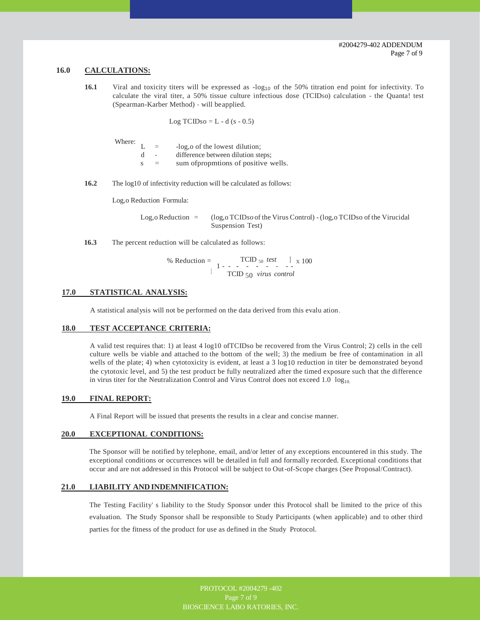#### **16.0 CALCULATIONS:**

16.1 Viral and toxicity titers will be expressed as  $-log_{10}$  of the 50% titration end point for infectivity. To calculate the viral titer, a 50% tissue culture infectious dose (TCIDso) calculation - the Quanta! test (Spearman-Karber Method) - will be applied.

Log TCIDso =  $L - d$  (s - 0.5)

Where:

|   | $=$ | -log, o of the lowest dilution;      |
|---|-----|--------------------------------------|
| d |     | difference between dilution steps;   |
| S | $=$ | sum of propmtions of positive wells. |
|   |     |                                      |

**16.2** The log10 of infectivity reduction will be calculated as follows:

Log,o Reduction Formula:

Log,o Reduction = (log,o TCID*so* of the Virus Control) - (log,o TCIDso of the Virucidal Suspension Test)

**16.3** The percent reduction will be calculated as follows:

% Reduction =  $TCD_{50} \text{ test }$   $\frac{1}{1}$  x 100 TCID 50 *virus control* [

#### **17.0 STATISTICAL ANALYSIS:**

A statistical analysis will not be performed on the data derived from this evalu ation.

#### **18.0 TEST ACCEPTANCE CRITERIA:**

A valid test requires that: 1) at least 4 log10 ofTCIDso be recovered from the Virus Control; 2) cells in the cell culture wells be viable and attached to the bottom of the well; 3) the medium be free of contamination in all wells of the plate; 4) when cytotoxicity is evident, at least a 3 log10 reduction in titer be demonstrated beyond the cytotoxic level, and 5) the test product be fully neutralized after the timed exposure such that the difference in virus titer for the Neutralization Control and Virus Control does not exceed  $1.0 \log_{10}$ 

#### **19.0 FINAL REPORT:**

A Final Report will be issued that presents the results in a clear and concise manner.

#### **20.0 EXCEPTIONAL CONDITIONS:**

The Sponsor will be notified by telephone, email, and/or letter of any exceptions encountered in this study. The exceptional conditions or occurrences will be detailed in full and formally recorded. Exceptional conditions that occur and are not addressed in this Protocol will be subject to Out-of-Scope charges (See Proposal/Contract).

#### **21.0 LIABILITY AND INDEMNIFICATION:**

The Testing Facility' s liability to the Study Sponsor under this Protocol shall be limited to the price of this evaluation. The Study Sponsor shall be responsible to Study Participants (when applicable) and to other third parties for the fitness of the product for use as defined in the Study Protocol.

> PROTOCOL #2004279 -402 Page 7 of 9 BIOSCIENCE LABO RATORIES, INC.

Page 7 of9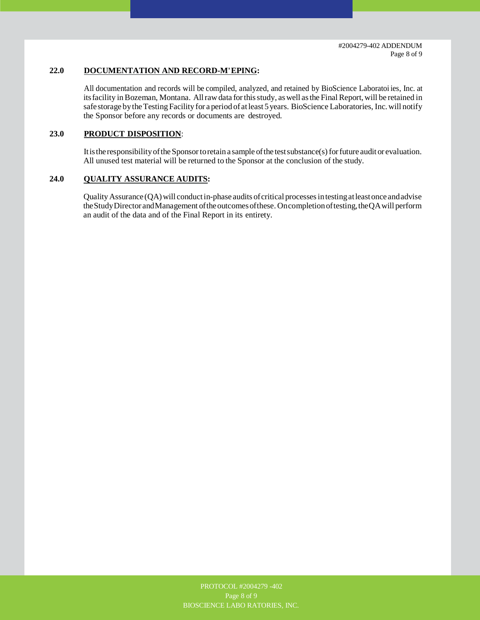# **22.0 DOCUMENTATION AND RECORD-M' EPING:**

All documentation and records will be compiled, analyzed, and retained by BioScience Laboratoi ies, Inc. at its facility in Bozeman, Montana. All raw data for this study, as well as the Final Report, will be retained in safe storage by the Testing Facility for a period of at least 5 years. BioScience Laboratories, Inc. will notify the Sponsor before any records or documents are destroyed.

# **23.0 PRODUCT DISPOSITION**:

Itis the responsibility of the Sponsor to retain a sample of the test substance(s) for future audit or evaluation. All unused test material will be returned to the Sponsor at the conclusion of the study.

#### **24.0 QUALITY ASSURANCE AUDITS:**

Quality Assurance (QA) will conduct in-phase audits of critical processes in testing at least once and advise the Study Director and Management of the outcomes of these. On completion of testing, the QA will perform an audit of the data and of the Final Report in its entirety.

Page 8 of 9